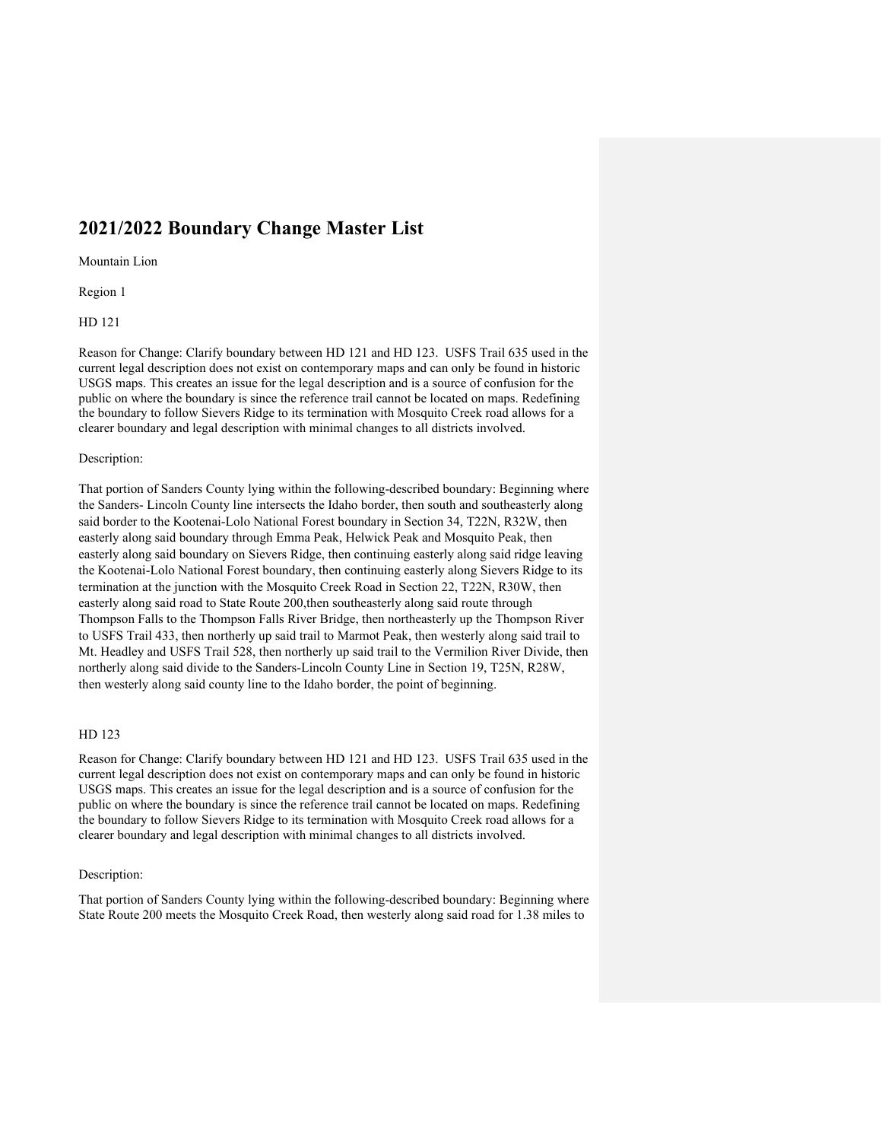# **2021/2022 Boundary Change Master List**

Mountain Lion

Region 1

HD 121

Reason for Change: Clarify boundary between HD 121 and HD 123. USFS Trail 635 used in the current legal description does not exist on contemporary maps and can only be found in historic USGS maps. This creates an issue for the legal description and is a source of confusion for the public on where the boundary is since the reference trail cannot be located on maps. Redefining the boundary to follow Sievers Ridge to its termination with Mosquito Creek road allows for a clearer boundary and legal description with minimal changes to all districts involved.

#### Description:

That portion of Sanders County lying within the following-described boundary: Beginning where the Sanders- Lincoln County line intersects the Idaho border, then south and southeasterly along said border to the Kootenai-Lolo National Forest boundary in Section 34, T22N, R32W, then easterly along said boundary through Emma Peak, Helwick Peak and Mosquito Peak, then easterly along said boundary on Sievers Ridge, then continuing easterly along said ridge leaving the Kootenai-Lolo National Forest boundary, then continuing easterly along Sievers Ridge to its termination at the junction with the Mosquito Creek Road in Section 22, T22N, R30W, then easterly along said road to State Route 200,then southeasterly along said route through Thompson Falls to the Thompson Falls River Bridge, then northeasterly up the Thompson River to USFS Trail 433, then northerly up said trail to Marmot Peak, then westerly along said trail to Mt. Headley and USFS Trail 528, then northerly up said trail to the Vermilion River Divide, then northerly along said divide to the Sanders-Lincoln County Line in Section 19, T25N, R28W, then westerly along said county line to the Idaho border, the point of beginning.

#### HD 123

Reason for Change: Clarify boundary between HD 121 and HD 123. USFS Trail 635 used in the current legal description does not exist on contemporary maps and can only be found in historic USGS maps. This creates an issue for the legal description and is a source of confusion for the public on where the boundary is since the reference trail cannot be located on maps. Redefining the boundary to follow Sievers Ridge to its termination with Mosquito Creek road allows for a clearer boundary and legal description with minimal changes to all districts involved.

#### Description:

That portion of Sanders County lying within the following-described boundary: Beginning where State Route 200 meets the Mosquito Creek Road, then westerly along said road for 1.38 miles to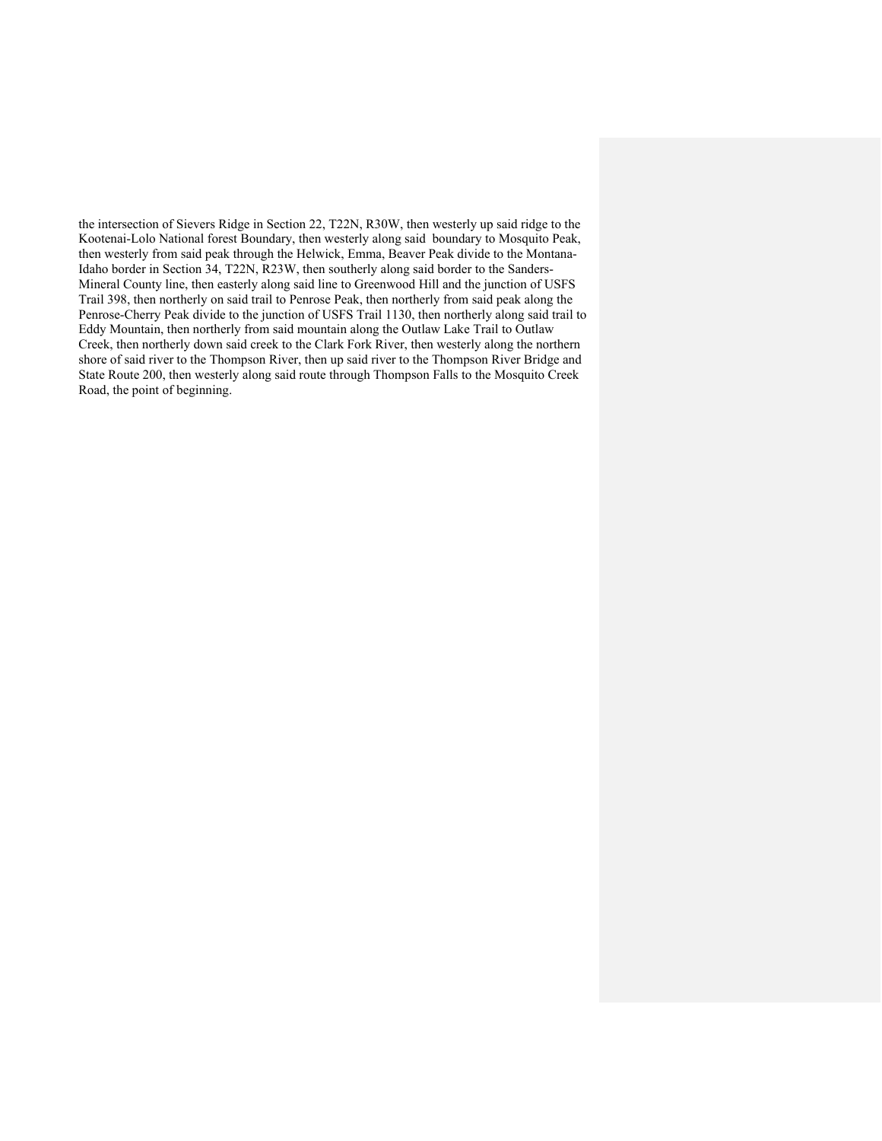the intersection of Sievers Ridge in Section 22, T22N, R30W, then westerly up said ridge to the Kootenai-Lolo National forest Boundary, then westerly along said boundary to Mosquito Peak, then westerly from said peak through the Helwick, Emma, Beaver Peak divide to the Montana-Idaho border in Section 34, T22N, R23W, then southerly along said border to the Sanders-Mineral County line, then easterly along said line to Greenwood Hill and the junction of USFS Trail 398, then northerly on said trail to Penrose Peak, then northerly from said peak along the Penrose-Cherry Peak divide to the junction of USFS Trail 1130, then northerly along said trail to Eddy Mountain, then northerly from said mountain along the Outlaw Lake Trail to Outlaw Creek, then northerly down said creek to the Clark Fork River, then westerly along the northern shore of said river to the Thompson River, then up said river to the Thompson River Bridge and State Route 200, then westerly along said route through Thompson Falls to the Mosquito Creek Road, the point of beginning.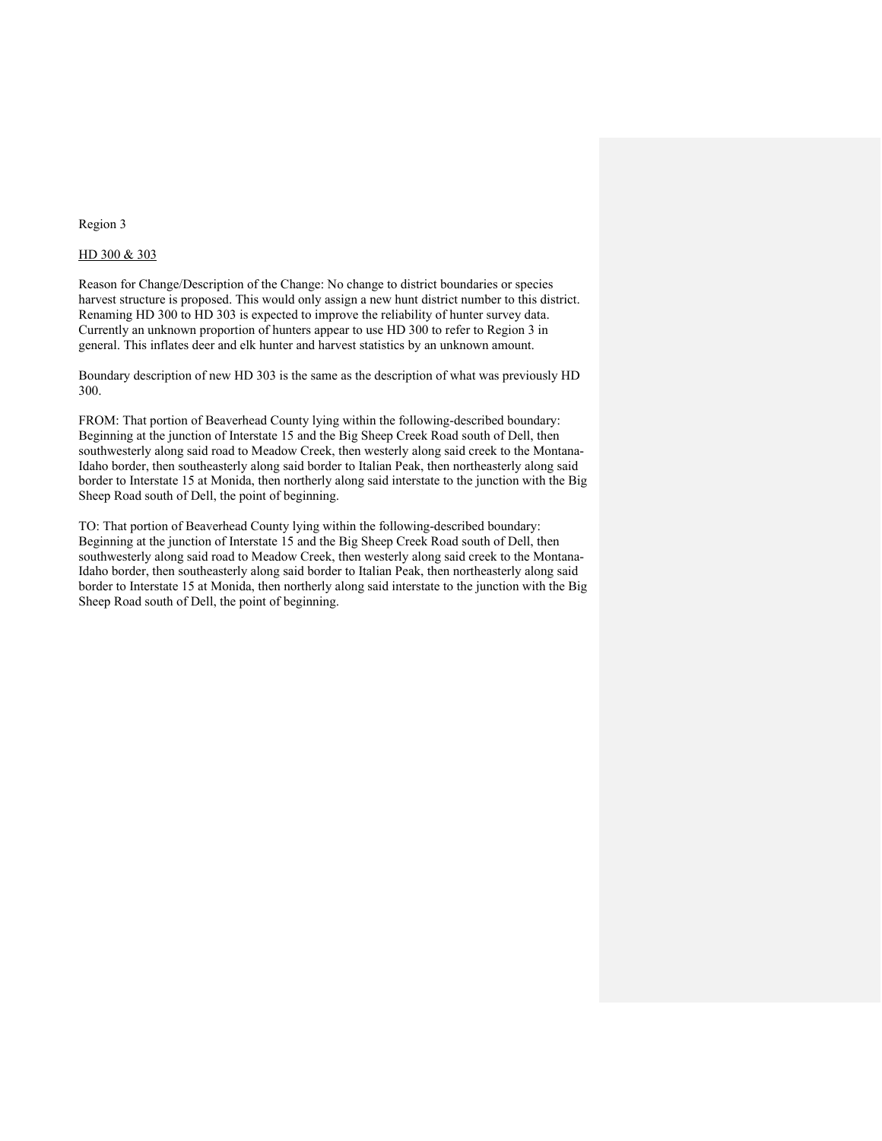#### Region 3

## HD 300 & 303

Reason for Change/Description of the Change: No change to district boundaries or species harvest structure is proposed. This would only assign a new hunt district number to this district. Renaming HD 300 to HD 303 is expected to improve the reliability of hunter survey data. Currently an unknown proportion of hunters appear to use HD 300 to refer to Region 3 in general. This inflates deer and elk hunter and harvest statistics by an unknown amount.

Boundary description of new HD 303 is the same as the description of what was previously HD 300.

FROM: That portion of Beaverhead County lying within the following-described boundary: Beginning at the junction of Interstate 15 and the Big Sheep Creek Road south of Dell, then southwesterly along said road to Meadow Creek, then westerly along said creek to the Montana-Idaho border, then southeasterly along said border to Italian Peak, then northeasterly along said border to Interstate 15 at Monida, then northerly along said interstate to the junction with the Big Sheep Road south of Dell, the point of beginning.

TO: That portion of Beaverhead County lying within the following-described boundary: Beginning at the junction of Interstate 15 and the Big Sheep Creek Road south of Dell, then southwesterly along said road to Meadow Creek, then westerly along said creek to the Montana-Idaho border, then southeasterly along said border to Italian Peak, then northeasterly along said border to Interstate 15 at Monida, then northerly along said interstate to the junction with the Big Sheep Road south of Dell, the point of beginning.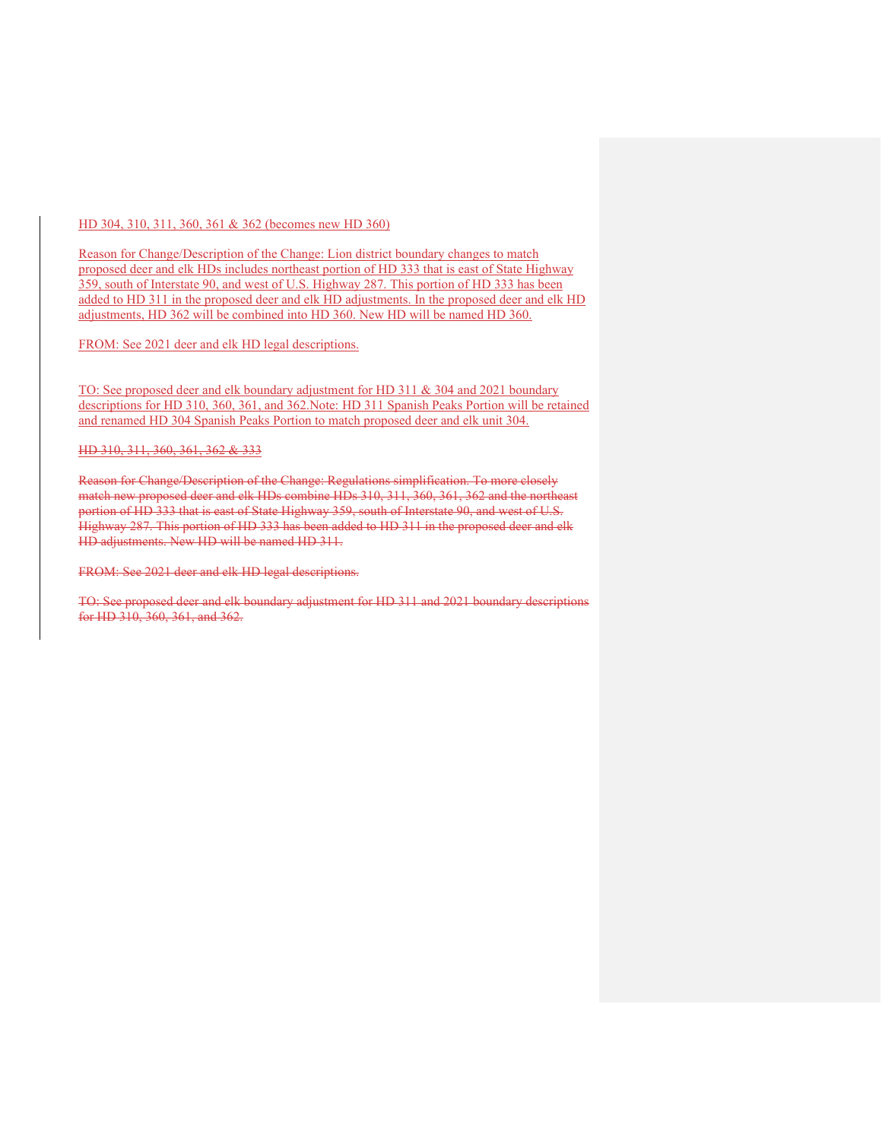#### HD 304, 310, 311, 360, 361 & 362 (becomes new HD 360)

Reason for Change/Description of the Change: Lion district boundary changes to match proposed deer and elk HDs includes northeast portion of HD 333 that is east of State Highway 359, south of Interstate 90, and west of U.S. Highway 287. This portion of HD 333 has been added to HD 311 in the proposed deer and elk HD adjustments. In the proposed deer and elk HD adjustments, HD 362 will be combined into HD 360. New HD will be named HD 360.

FROM: See 2021 deer and elk HD legal descriptions.

TO: See proposed deer and elk boundary adjustment for HD 311 & 304 and 2021 boundary descriptions for HD 310, 360, 361, and 362.Note: HD 311 Spanish Peaks Portion will be retained and renamed HD 304 Spanish Peaks Portion to match proposed deer and elk unit 304.

## HD 310, 311, 360, 361, 362 & 333

Reason for Change/Description of the Change: Regulations simplification. To more closely match new proposed deer and elk HDs combine HDs 310, 311, 360, 361, 362 and the northeast portion of HD 333 that is east of State Highway 359, south of Interstate 90, and west of U.S. Highway 287. This portion of HD 333 has been added to HD 311 in the proposed deer and elk HD adjustments. New HD will be named HD 311.

FROM: See 2021 deer and elk HD legal descriptions.

TO: See proposed deer and elk boundary adjustment for HD 311 and 2021 boundary descriptions for HD 310, 360, 361, and 362.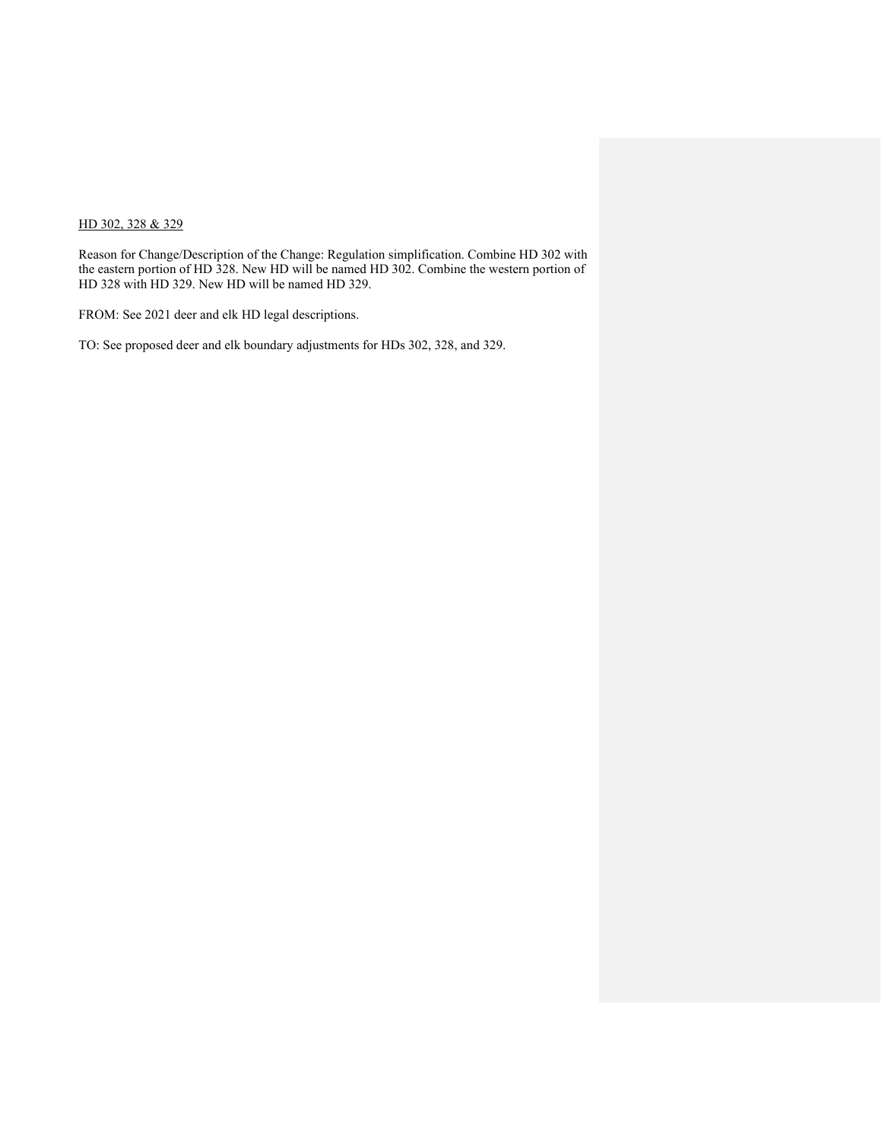## HD 302, 328 & 329

Reason for Change/Description of the Change: Regulation simplification. Combine HD 302 with the eastern portion of HD 328. New HD will be named HD 302. Combine the western portion of HD 328 with HD 329. New HD will be named HD 329.

FROM: See 2021 deer and elk HD legal descriptions.

TO: See proposed deer and elk boundary adjustments for HDs 302, 328, and 329.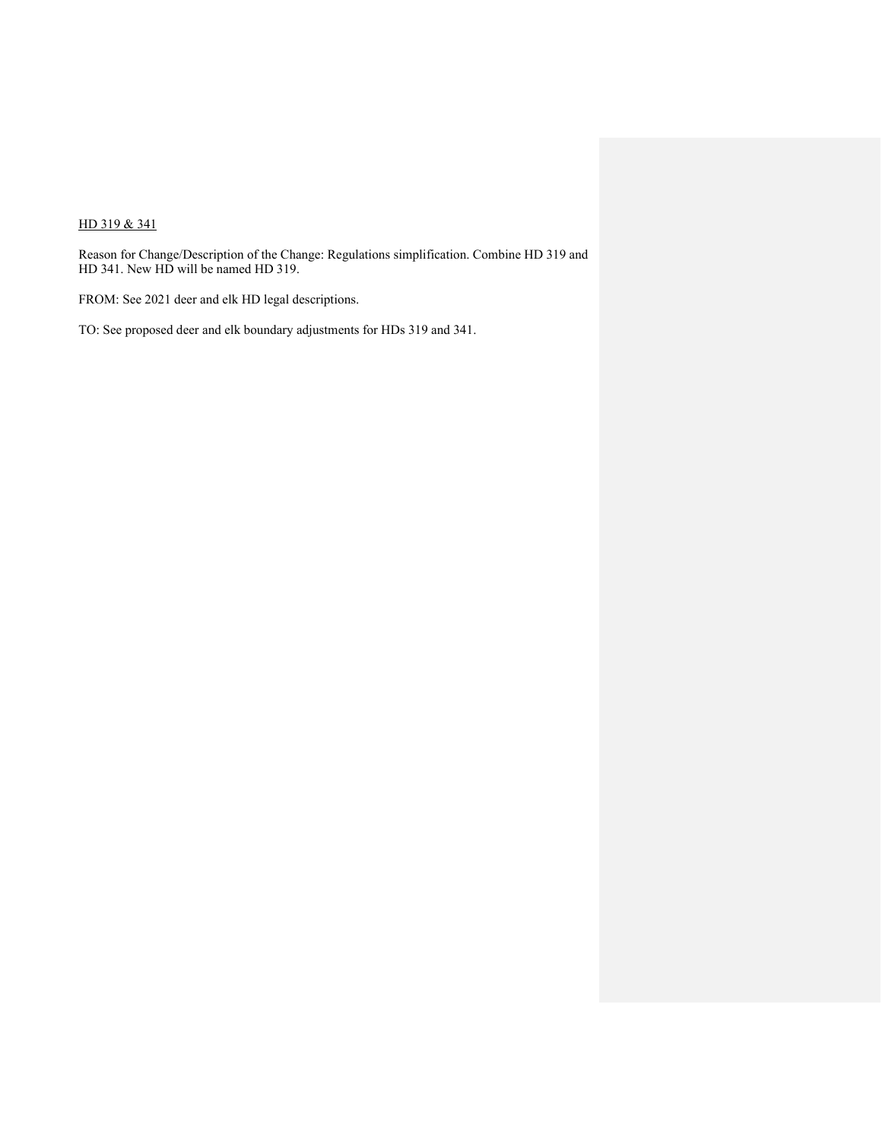# HD 319 & 341

Reason for Change/Description of the Change: Regulations simplification. Combine HD 319 and HD 341. New HD will be named HD 319.

FROM: See 2021 deer and elk HD legal descriptions.

TO: See proposed deer and elk boundary adjustments for HDs 319 and 341.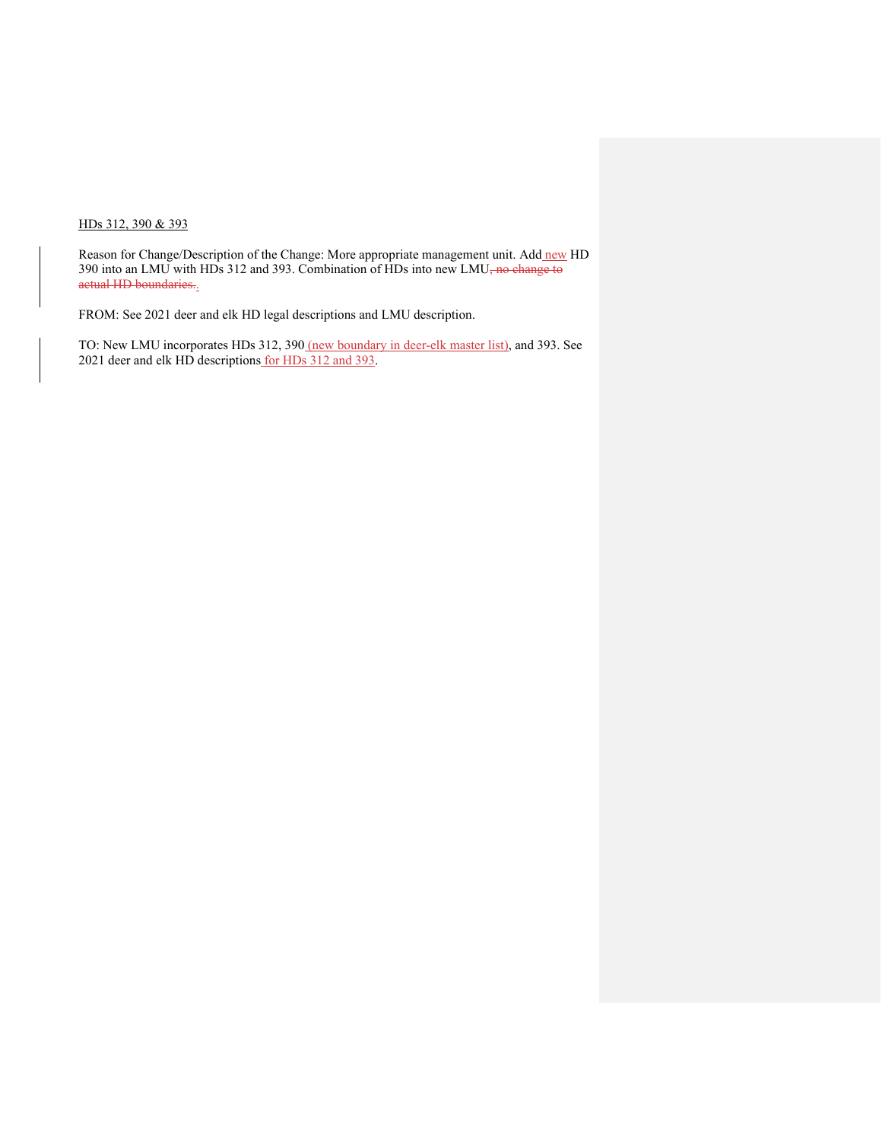## HDs 312, 390 & 393

Reason for Change/Description of the Change: More appropriate management unit. Add new HD 390 into an LMU with HDs 312 and 393. Combination of HDs into new LMU<del>, no change to</del> actual HD boundaries..

FROM: See 2021 deer and elk HD legal descriptions and LMU description.

TO: New LMU incorporates HDs 312, 390 (new boundary in deer-elk master list), and 393. See 2021 deer and elk HD descriptions for HDs 312 and 393.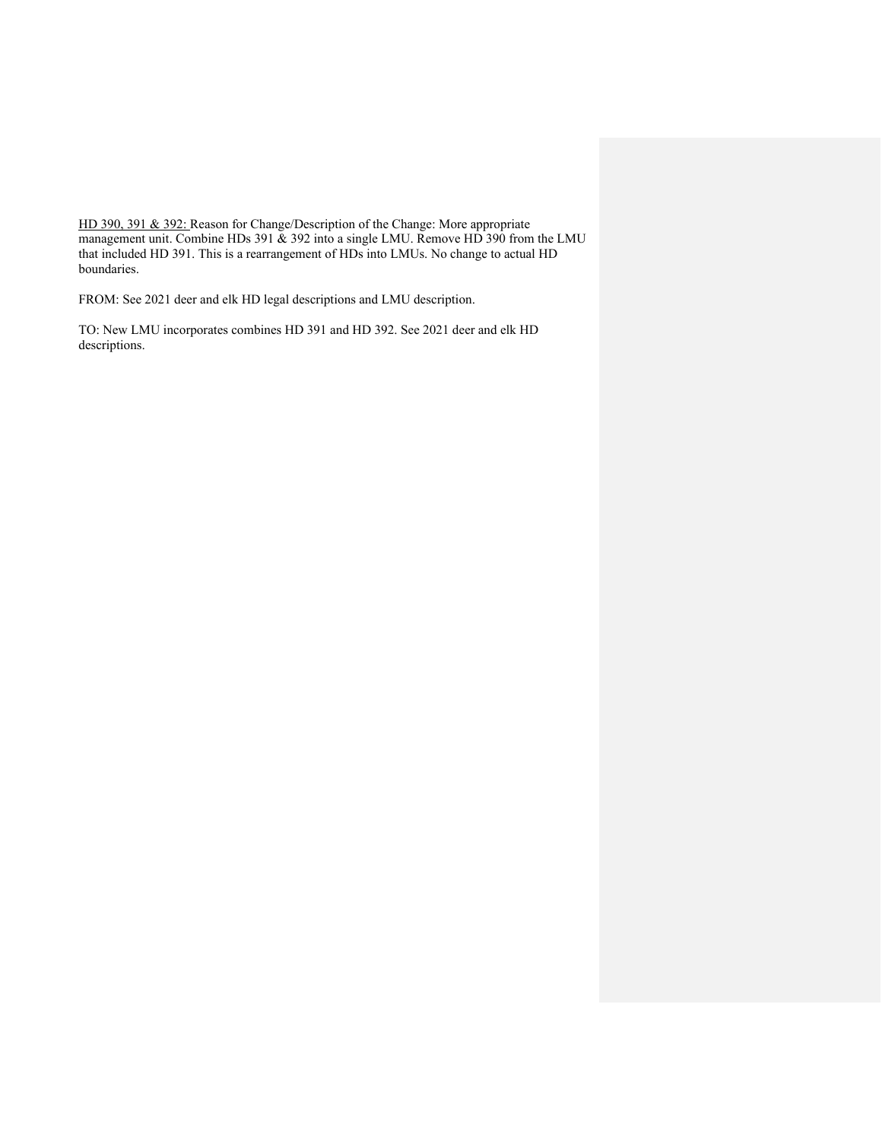HD 390, 391 & 392: Reason for Change/Description of the Change: More appropriate management unit. Combine HDs 391 & 392 into a single LMU. Remove HD 390 from the LMU that included HD 391. This is a rearrangement of HDs into LMUs. No change to actual HD boundaries.

FROM: See 2021 deer and elk HD legal descriptions and LMU description.

TO: New LMU incorporates combines HD 391 and HD 392. See 2021 deer and elk HD descriptions.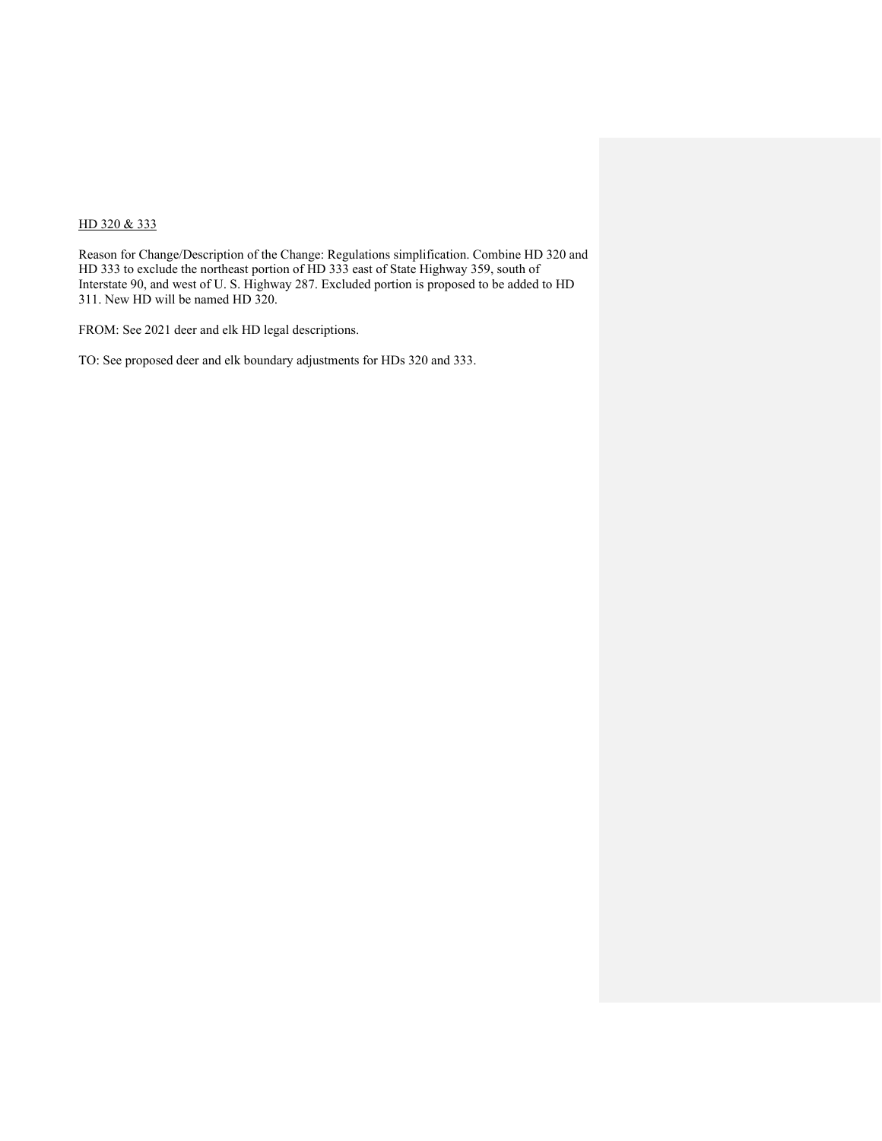# HD 320 & 333

Reason for Change/Description of the Change: Regulations simplification. Combine HD 320 and HD 333 to exclude the northeast portion of HD 333 east of State Highway 359, south of Interstate 90, and west of U. S. Highway 287. Excluded portion is proposed to be added to HD 311. New HD will be named HD 320.

FROM: See 2021 deer and elk HD legal descriptions.

TO: See proposed deer and elk boundary adjustments for HDs 320 and 333.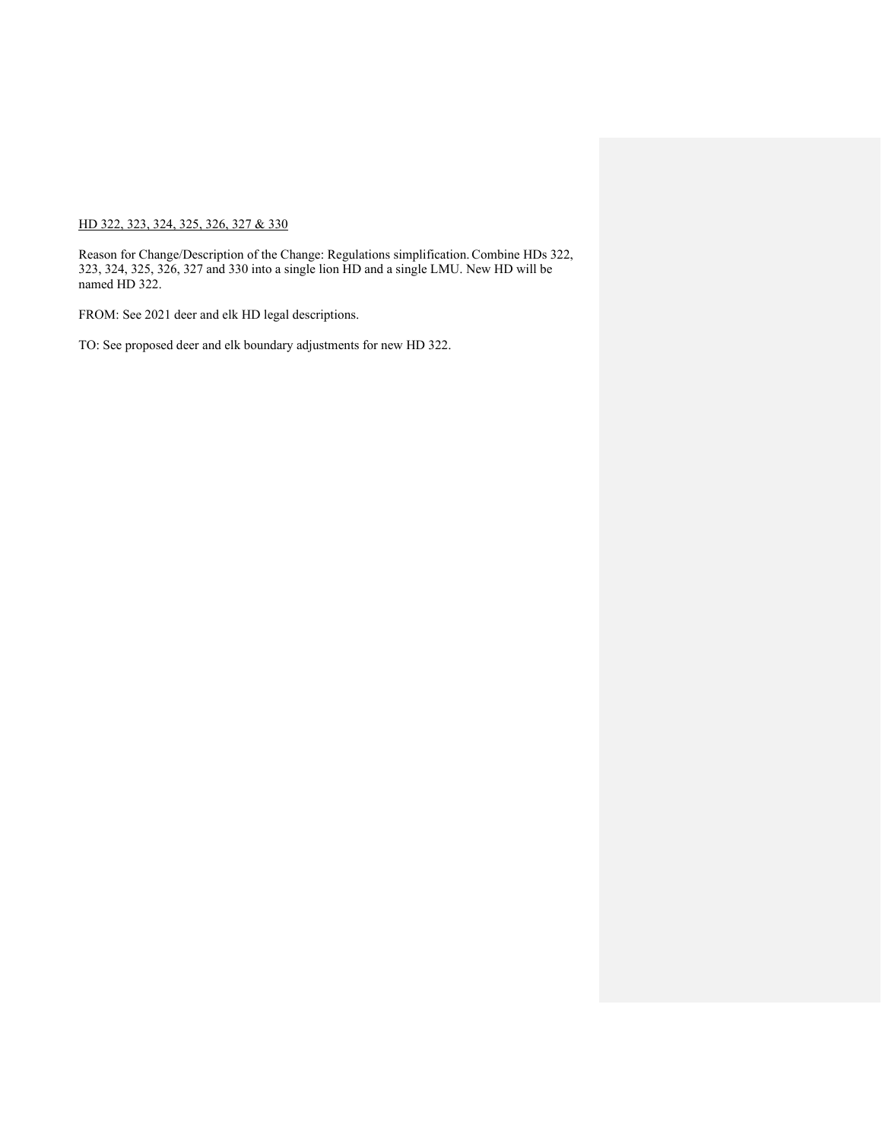## HD 322, 323, 324, 325, 326, 327 & 330

Reason for Change/Description of the Change: Regulations simplification.Combine HDs 322, 323, 324, 325, 326, 327 and 330 into a single lion HD and a single LMU. New HD will be named HD 322.

FROM: See 2021 deer and elk HD legal descriptions.

TO: See proposed deer and elk boundary adjustments for new HD 322.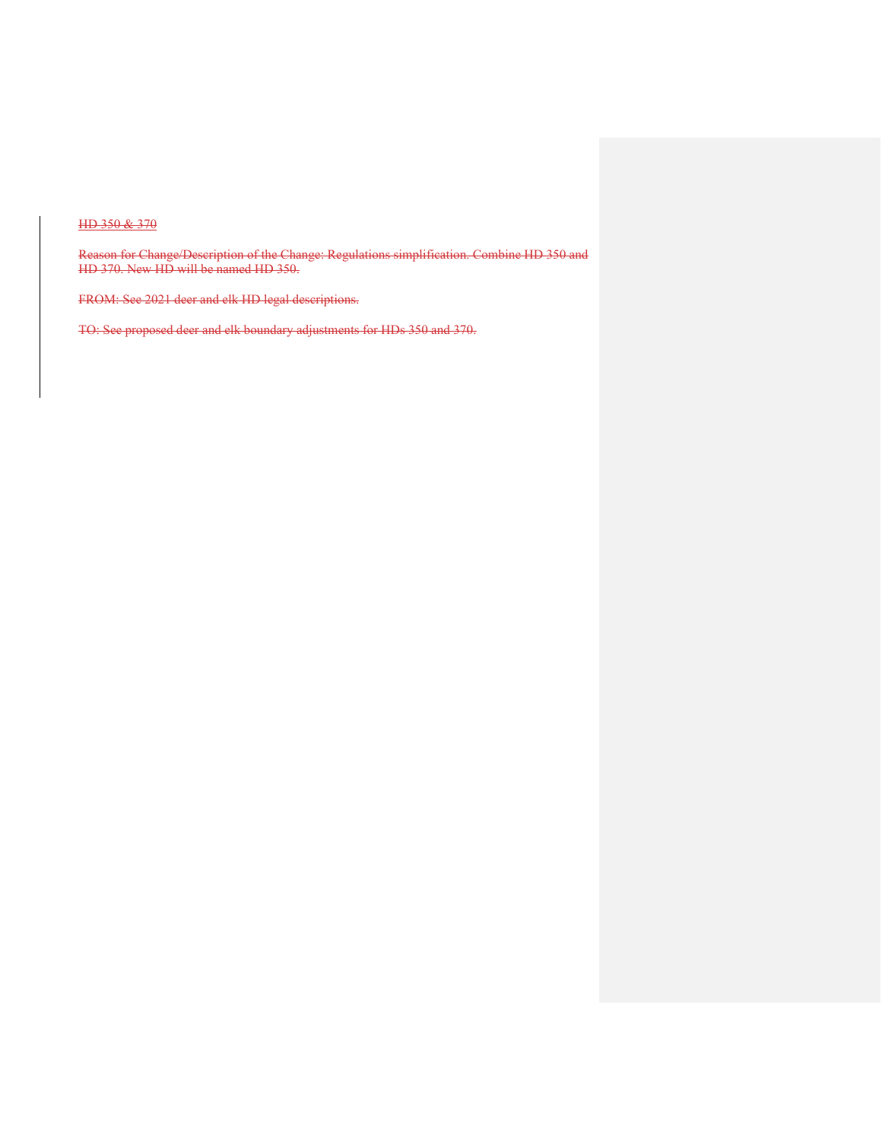## HD 350 & 370

Reason for Change/Description of the Change: Regulations simplification. Combine HD 350 and HD 370. New HD will be named HD 350.

FROM: See 2021 deer and elk HD legal descriptions.

TO: See proposed deer and elk boundary adjustments for HDs 350 and 370.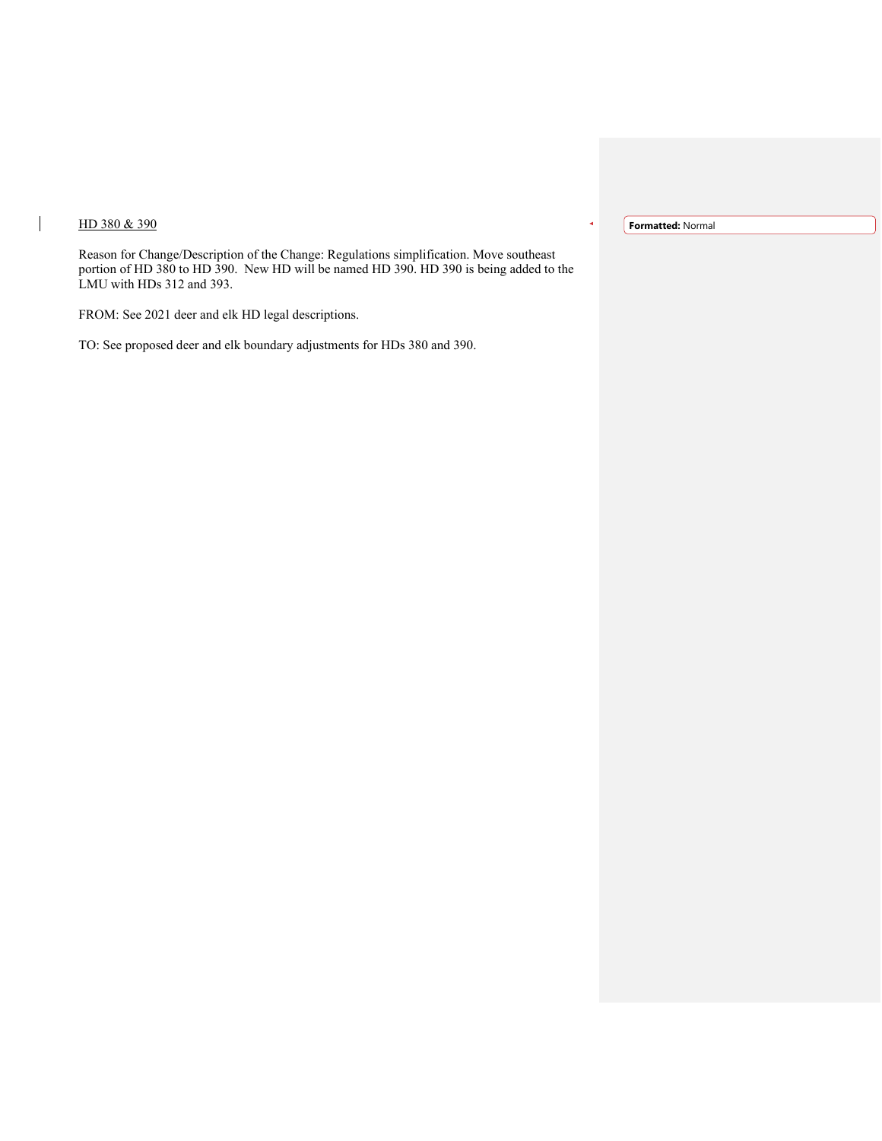# HD 380 & 390

 $\overline{1}$ 

**Formatted:** Normal

Reason for Change/Description of the Change: Regulations simplification. Move southeast portion of HD 380 to HD 390. New HD will be named HD 390. HD 390 is being added to the LMU with HDs 312 and 393.

FROM: See 2021 deer and elk HD legal descriptions.

TO: See proposed deer and elk boundary adjustments for HDs 380 and 390.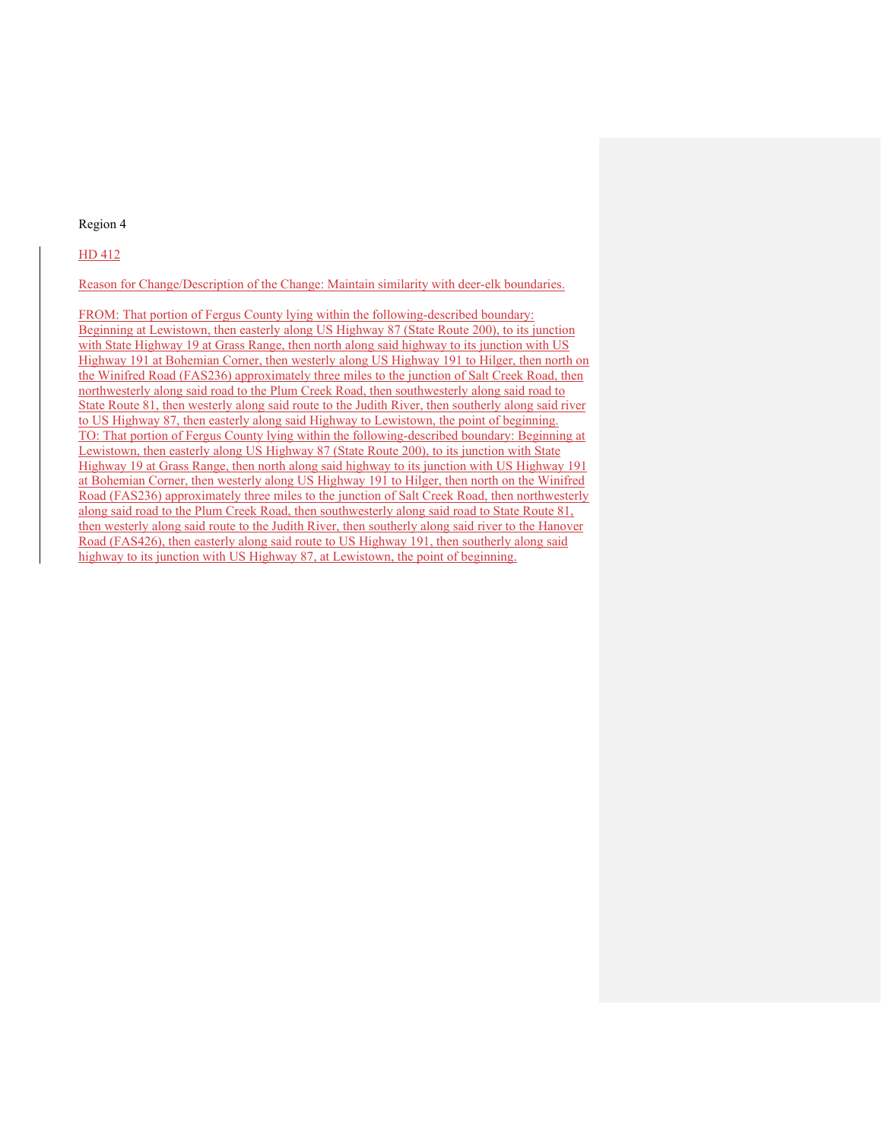#### Region 4

#### HD 412

Reason for Change/Description of the Change: Maintain similarity with deer-elk boundaries.

FROM: That portion of Fergus County lying within the following-described boundary: Beginning at Lewistown, then easterly along US Highway 87 (State Route 200), to its junction with State Highway 19 at Grass Range, then north along said highway to its junction with US Highway 191 at Bohemian Corner, then westerly along US Highway 191 to Hilger, then north on the Winifred Road (FAS236) approximately three miles to the junction of Salt Creek Road, then northwesterly along said road to the Plum Creek Road, then southwesterly along said road to State Route 81, then westerly along said route to the Judith River, then southerly along said river to US Highway 87, then easterly along said Highway to Lewistown, the point of beginning. TO: That portion of Fergus County lying within the following-described boundary: Beginning at Lewistown, then easterly along US Highway 87 (State Route 200), to its junction with State Highway 19 at Grass Range, then north along said highway to its junction with US Highway 191 at Bohemian Corner, then westerly along US Highway 191 to Hilger, then north on the Winifred Road (FAS236) approximately three miles to the junction of Salt Creek Road, then northwesterly along said road to the Plum Creek Road, then southwesterly along said road to State Route 81, then westerly along said route to the Judith River, then southerly along said river to the Hanover Road (FAS426), then easterly along said route to US Highway 191, then southerly along said highway to its junction with US Highway 87, at Lewistown, the point of beginning.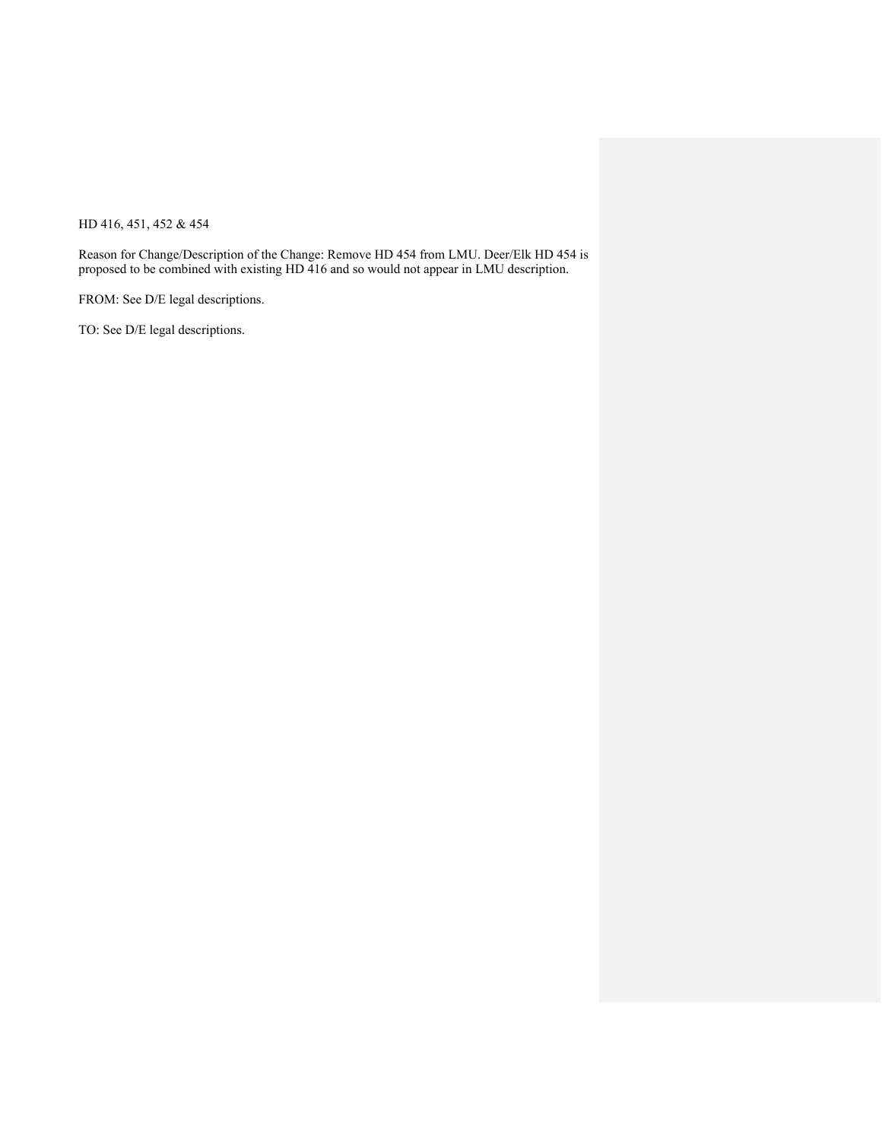HD 416, 451, 452 & 454

Reason for Change/Description of the Change: Remove HD 454 from LMU. Deer/Elk HD 454 is proposed to be combined with existing HD 416 and so would not appear in LMU description.

FROM: See D/E legal descriptions.

TO: See D/E legal descriptions.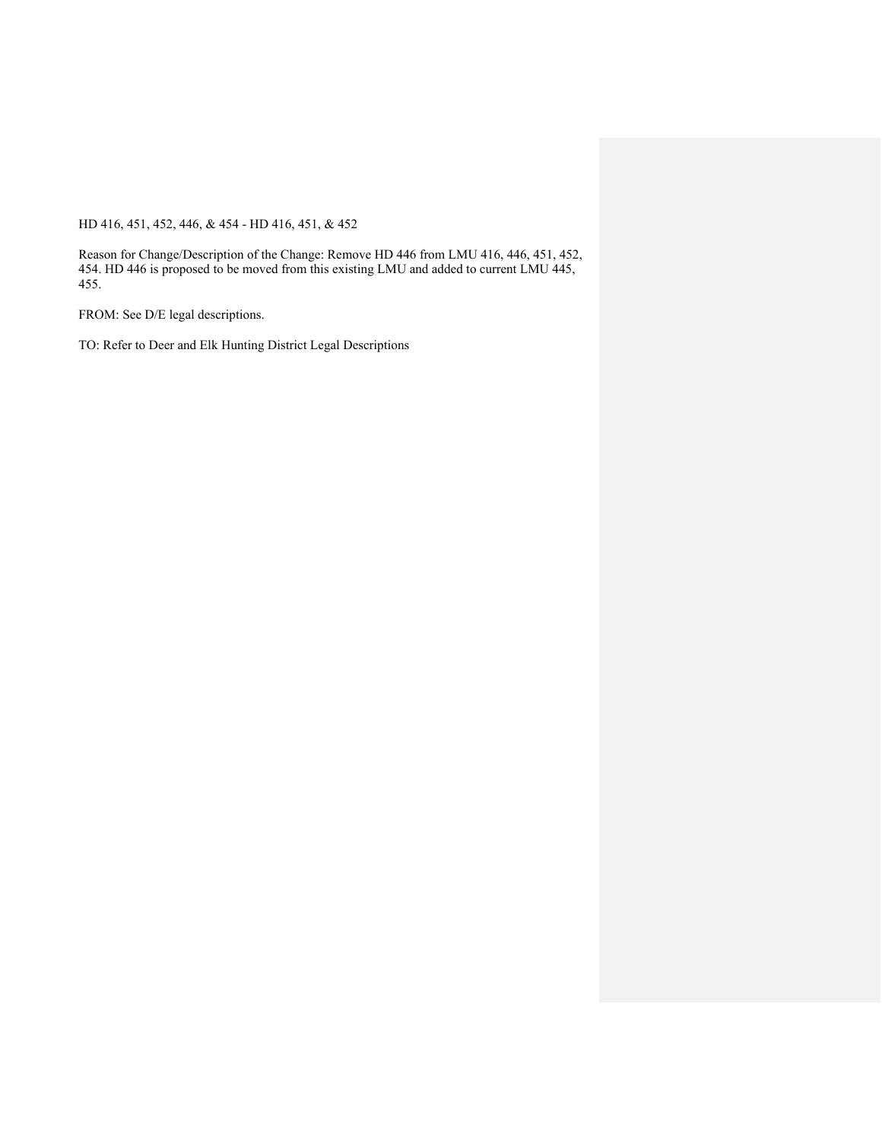HD 416, 451, 452, 446, & 454 - HD 416, 451, & 452

Reason for Change/Description of the Change: Remove HD 446 from LMU 416, 446, 451, 452, 454. HD 446 is proposed to be moved from this existing LMU and added to current LMU 445, 455.

FROM: See D/E legal descriptions.

TO: Refer to Deer and Elk Hunting District Legal Descriptions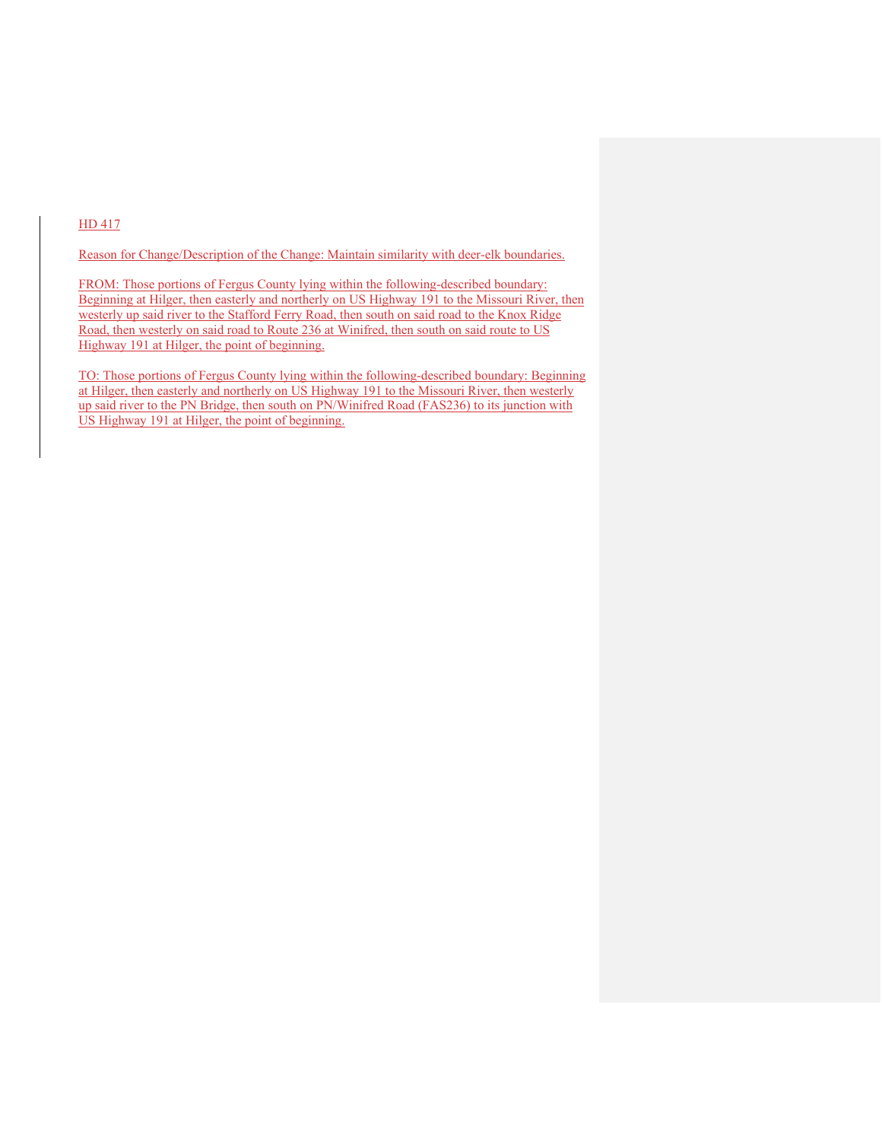## HD 417

Reason for Change/Description of the Change: Maintain similarity with deer-elk boundaries.

FROM: Those portions of Fergus County lying within the following-described boundary: Beginning at Hilger, then easterly and northerly on US Highway 191 to the Missouri River, then westerly up said river to the Stafford Ferry Road, then south on said road to the Knox Ridge Road, then westerly on said road to Route 236 at Winifred, then south on said route to US Highway 191 at Hilger, the point of beginning.

TO: Those portions of Fergus County lying within the following-described boundary: Beginning at Hilger, then easterly and northerly on US Highway 191 to the Missouri River, then westerly up said river to the PN Bridge, then south on PN/Winifred Road (FAS236) to its junction with US Highway 191 at Hilger, the point of beginning.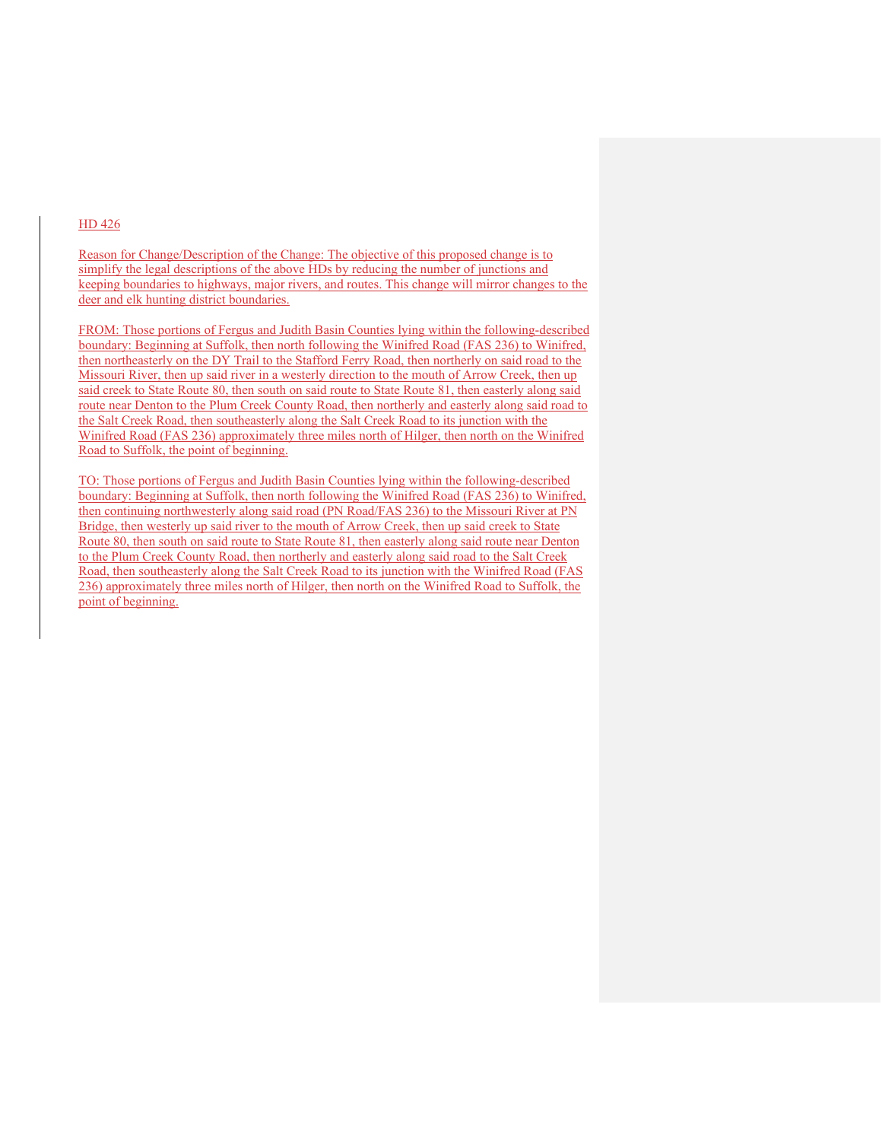#### HD 426

Reason for Change/Description of the Change: The objective of this proposed change is to simplify the legal descriptions of the above HDs by reducing the number of junctions and keeping boundaries to highways, major rivers, and routes. This change will mirror changes to the deer and elk hunting district boundaries.

FROM: Those portions of Fergus and Judith Basin Counties lying within the following-described boundary: Beginning at Suffolk, then north following the Winifred Road (FAS 236) to Winifred, then northeasterly on the DY Trail to the Stafford Ferry Road, then northerly on said road to the Missouri River, then up said river in a westerly direction to the mouth of Arrow Creek, then up said creek to State Route 80, then south on said route to State Route 81, then easterly along said route near Denton to the Plum Creek County Road, then northerly and easterly along said road to the Salt Creek Road, then southeasterly along the Salt Creek Road to its junction with the Winifred Road (FAS 236) approximately three miles north of Hilger, then north on the Winifred Road to Suffolk, the point of beginning.

TO: Those portions of Fergus and Judith Basin Counties lying within the following-described boundary: Beginning at Suffolk, then north following the Winifred Road (FAS 236) to Winifred, then continuing northwesterly along said road (PN Road/FAS 236) to the Missouri River at PN Bridge, then westerly up said river to the mouth of Arrow Creek, then up said creek to State Route 80, then south on said route to State Route 81, then easterly along said route near Denton to the Plum Creek County Road, then northerly and easterly along said road to the Salt Creek Road, then southeasterly along the Salt Creek Road to its junction with the Winifred Road (FAS 236) approximately three miles north of Hilger, then north on the Winifred Road to Suffolk, the point of beginning.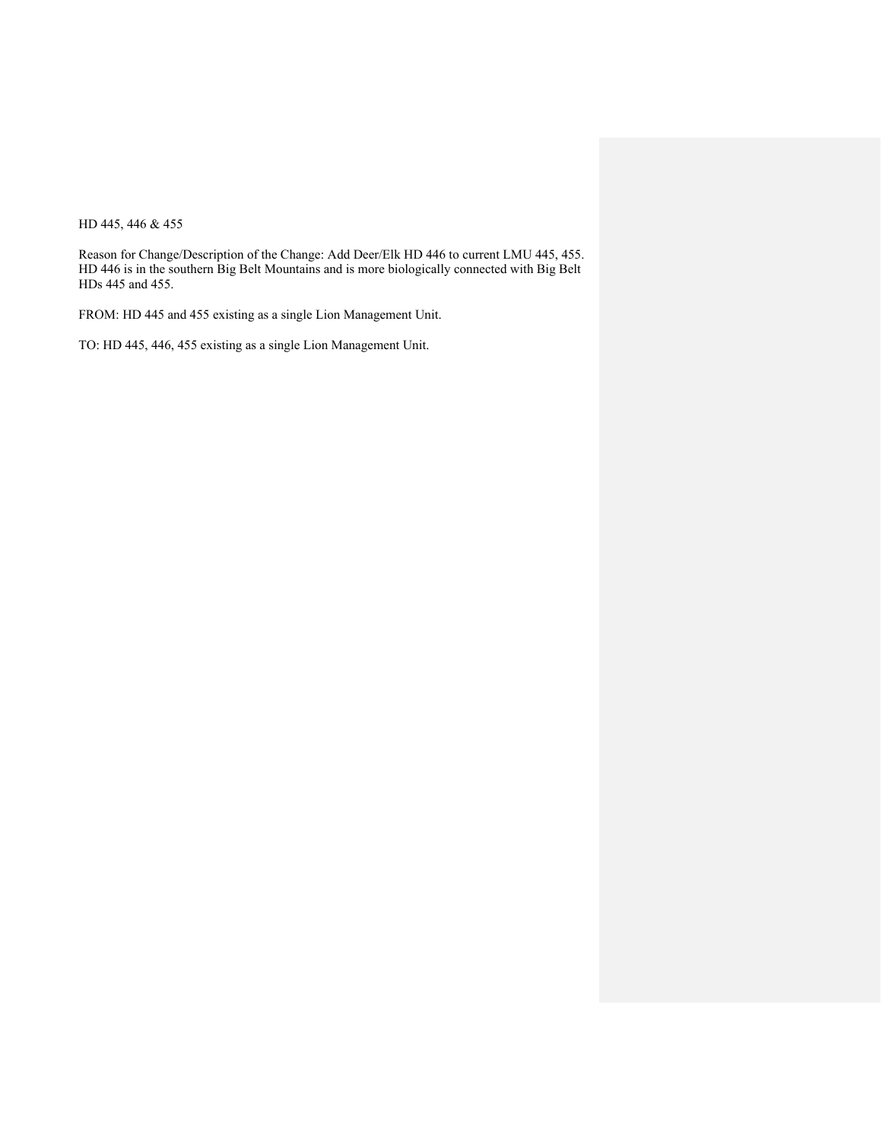HD 445, 446 & 455

Reason for Change/Description of the Change: Add Deer/Elk HD 446 to current LMU 445, 455. HD 446 is in the southern Big Belt Mountains and is more biologically connected with Big Belt HDs 445 and 455.

FROM: HD 445 and 455 existing as a single Lion Management Unit.

TO: HD 445, 446, 455 existing as a single Lion Management Unit.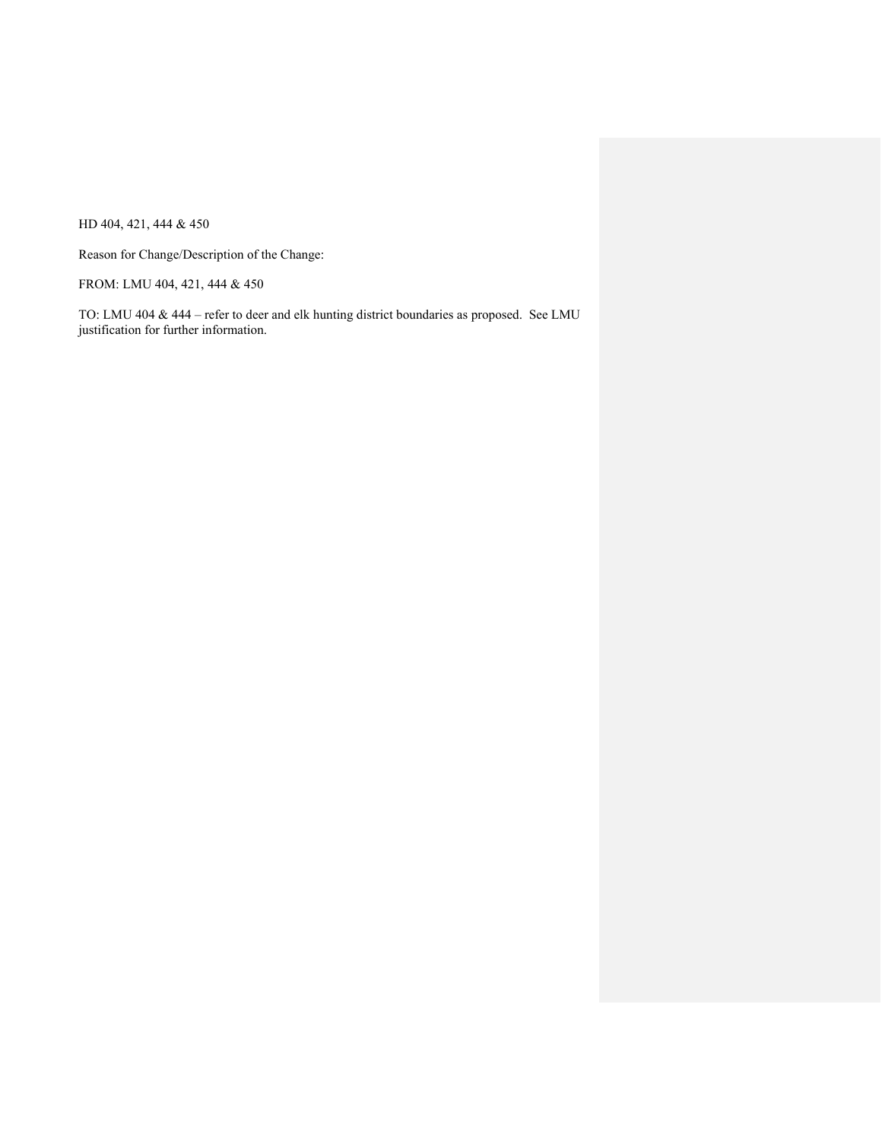HD 404, 421, 444 & 450

Reason for Change/Description of the Change:

FROM: LMU 404, 421, 444 & 450

TO: LMU 404 & 444 – refer to deer and elk hunting district boundaries as proposed. See LMU justification for further information.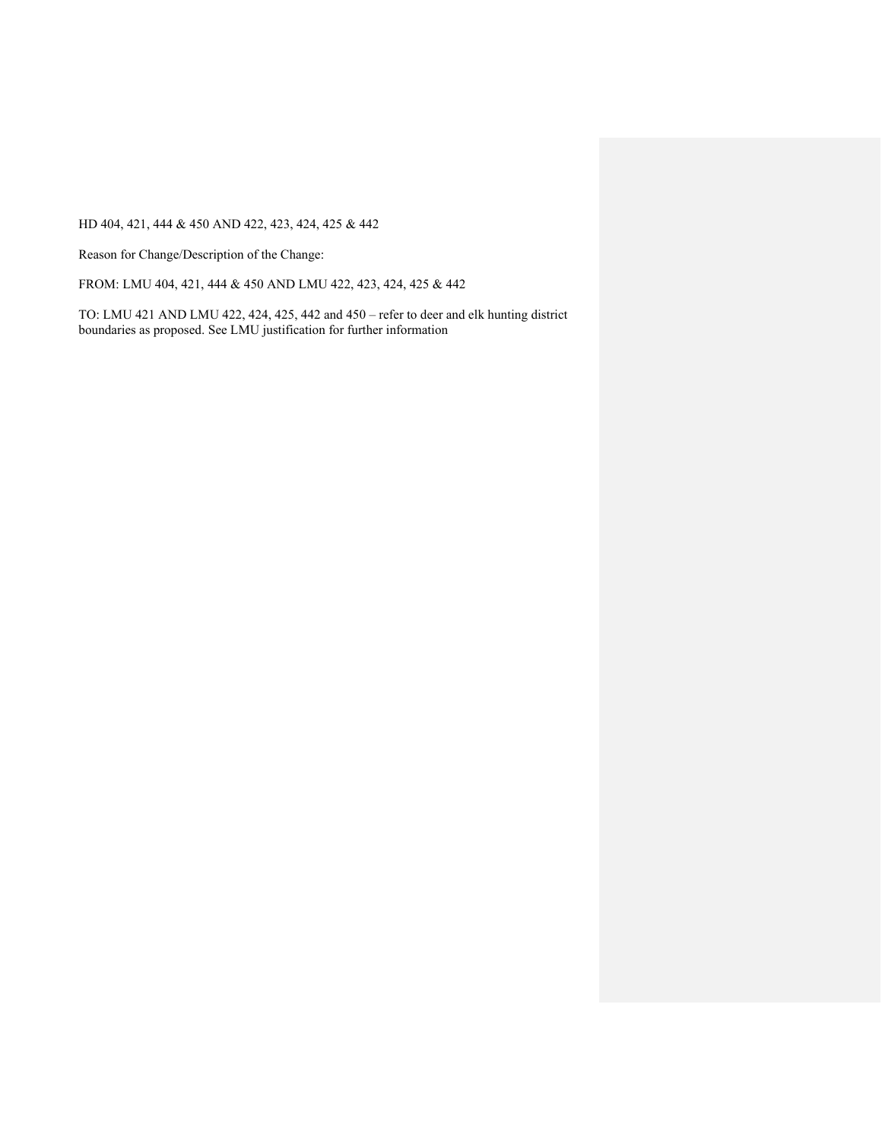HD 404, 421, 444 & 450 AND 422, 423, 424, 425 & 442

Reason for Change/Description of the Change:

FROM: LMU 404, 421, 444 & 450 AND LMU 422, 423, 424, 425 & 442

TO: LMU 421 AND LMU 422, 424, 425, 442 and 450 – refer to deer and elk hunting district boundaries as proposed. See LMU justification for further information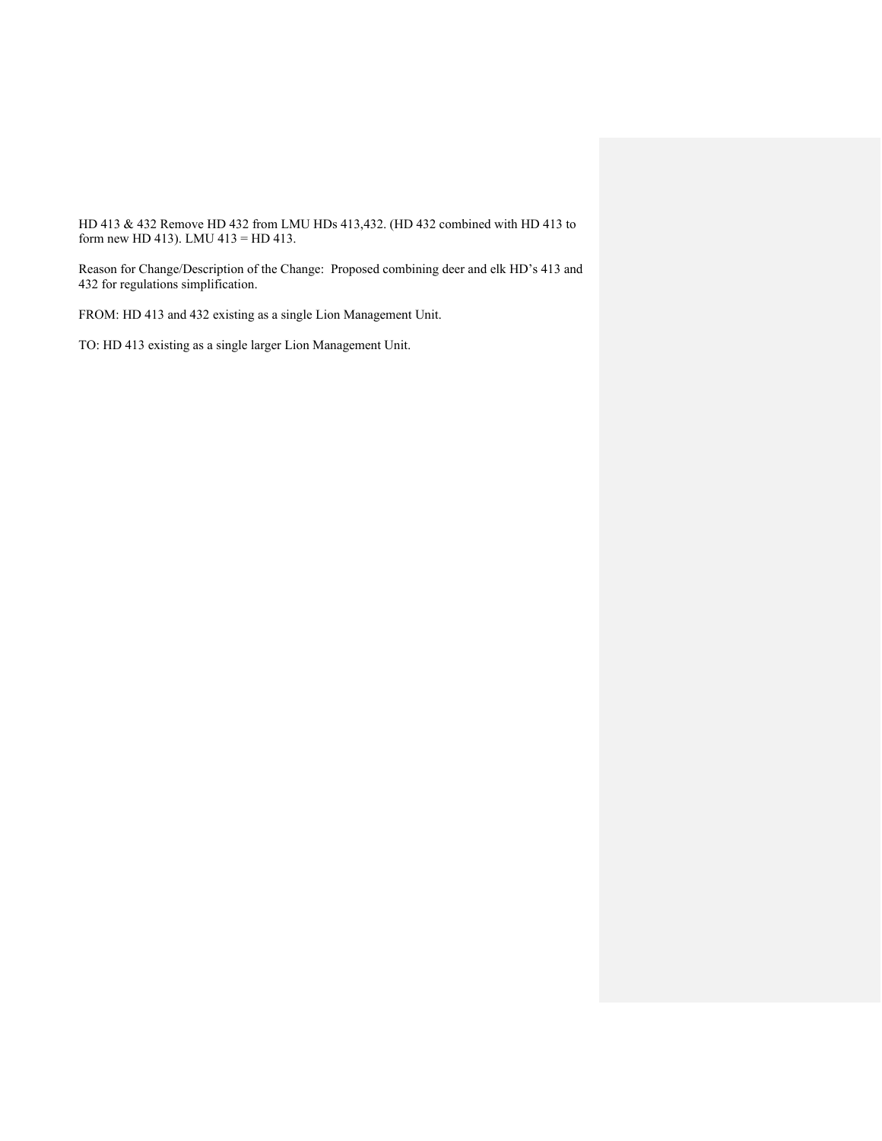HD 413 & 432 Remove HD 432 from LMU HDs 413,432. (HD 432 combined with HD 413 to form new HD 413). LMU 413 = HD 413.

Reason for Change/Description of the Change: Proposed combining deer and elk HD's 413 and 432 for regulations simplification.

FROM: HD 413 and 432 existing as a single Lion Management Unit.

TO: HD 413 existing as a single larger Lion Management Unit.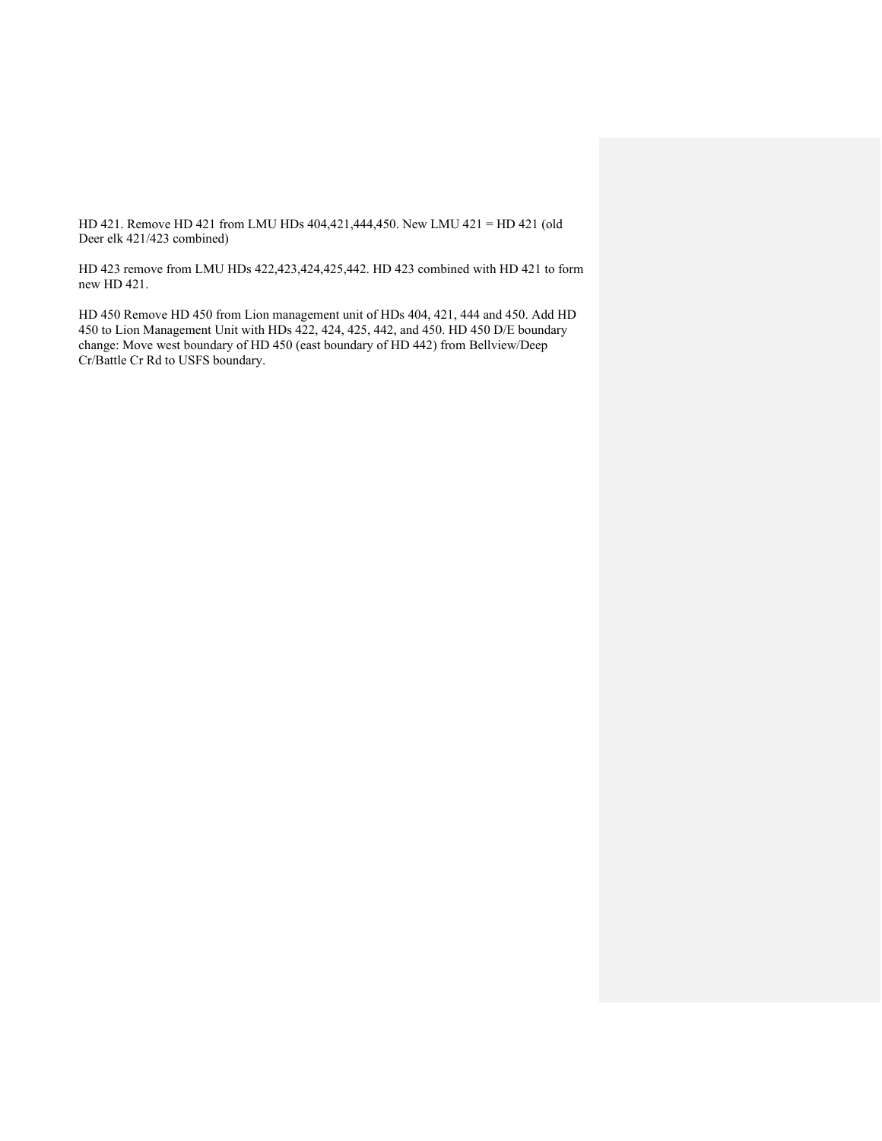HD 421. Remove HD 421 from LMU HDs 404,421,444,450. New LMU 421 = HD 421 (old Deer elk 421/423 combined)

HD 423 remove from LMU HDs 422,423,424,425,442. HD 423 combined with HD 421 to form new HD 421.

HD 450 Remove HD 450 from Lion management unit of HDs 404, 421, 444 and 450. Add HD 450 to Lion Management Unit with HDs 422, 424, 425, 442, and 450. HD 450 D/E boundary change: Move west boundary of HD 450 (east boundary of HD 442) from Bellview/Deep Cr/Battle Cr Rd to USFS boundary.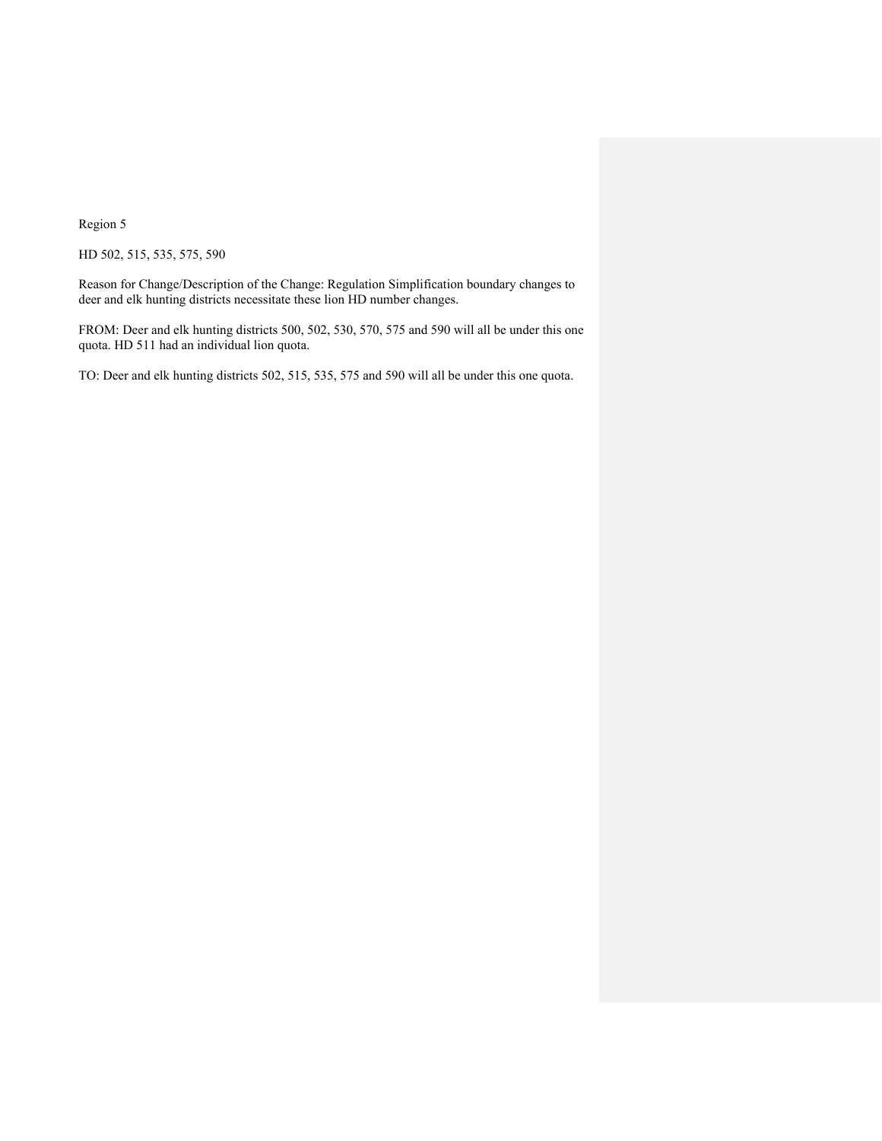Region 5

HD 502, 515, 535, 575, 590

Reason for Change/Description of the Change: Regulation Simplification boundary changes to deer and elk hunting districts necessitate these lion HD number changes.

FROM: Deer and elk hunting districts 500, 502, 530, 570, 575 and 590 will all be under this one quota. HD 511 had an individual lion quota.

TO: Deer and elk hunting districts 502, 515, 535, 575 and 590 will all be under this one quota.